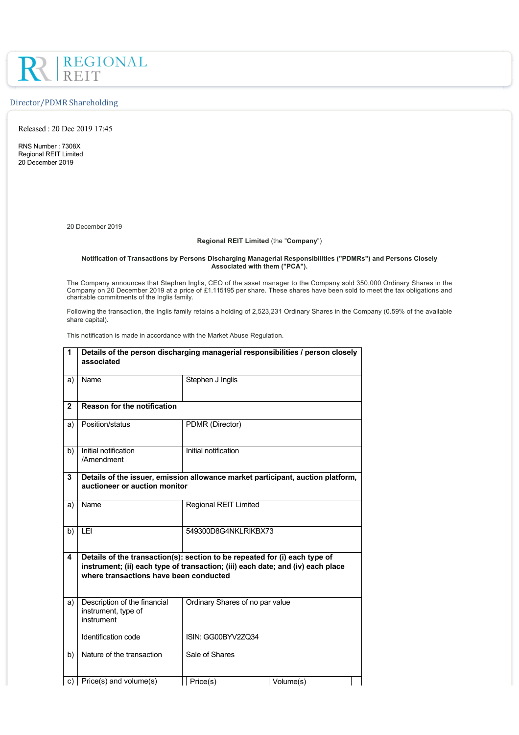# REGIONAL<br>REIT

## Director/PDMR Shareholding

Released : 20 Dec 2019 17:45

RNS Number : 7308X Regional REIT Limited 20 December 2019

20 December 2019

#### **Regional REIT Limited** (the "**Company**")

## **Notification of Transactions by Persons Discharging Managerial Responsibilities ("PDMRs") and Persons Closely Associated with them ("PCA").**

The Company announces that Stephen Inglis, CEO of the asset manager to the Company sold 350,000 Ordinary Shares in the Company on 20 December 2019 at a price of £1.115195 per share. These shares have been sold to meet the tax obligations and charitable commitments of the Inglis family.

Following the transaction, the Inglis family retains a holding of 2,523,231 Ordinary Shares in the Company (0.59% of the available share capital).

This notification is made in accordance with the Market Abuse Regulation.

| 1            | Details of the person discharging managerial responsibilities / person closely<br>associated                                                                                                            |                                 |           |  |
|--------------|---------------------------------------------------------------------------------------------------------------------------------------------------------------------------------------------------------|---------------------------------|-----------|--|
| a)           | Name                                                                                                                                                                                                    | Stephen J Inglis                |           |  |
| $\mathbf{2}$ | <b>Reason for the notification</b>                                                                                                                                                                      |                                 |           |  |
| a)           | Position/status                                                                                                                                                                                         | PDMR (Director)                 |           |  |
| b)           | Initial notification<br>/Amendment                                                                                                                                                                      | Initial notification            |           |  |
| 3            | Details of the issuer, emission allowance market participant, auction platform,<br>auctioneer or auction monitor                                                                                        |                                 |           |  |
| a)           | Name                                                                                                                                                                                                    | <b>Regional REIT Limited</b>    |           |  |
| b)           | LEI                                                                                                                                                                                                     | 549300D8G4NKLRIKBX73            |           |  |
| 4            | Details of the transaction(s): section to be repeated for (i) each type of<br>instrument; (ii) each type of transaction; (iii) each date; and (iv) each place<br>where transactions have been conducted |                                 |           |  |
| a)           | Description of the financial<br>instrument, type of<br>instrument                                                                                                                                       | Ordinary Shares of no par value |           |  |
|              | Identification code                                                                                                                                                                                     | ISIN: GG00BYV2ZQ34              |           |  |
| b)           | Nature of the transaction                                                                                                                                                                               | Sale of Shares                  |           |  |
|              | c)   $Price(s)$ and volume(s)                                                                                                                                                                           | Price(s)                        | Volume(s) |  |